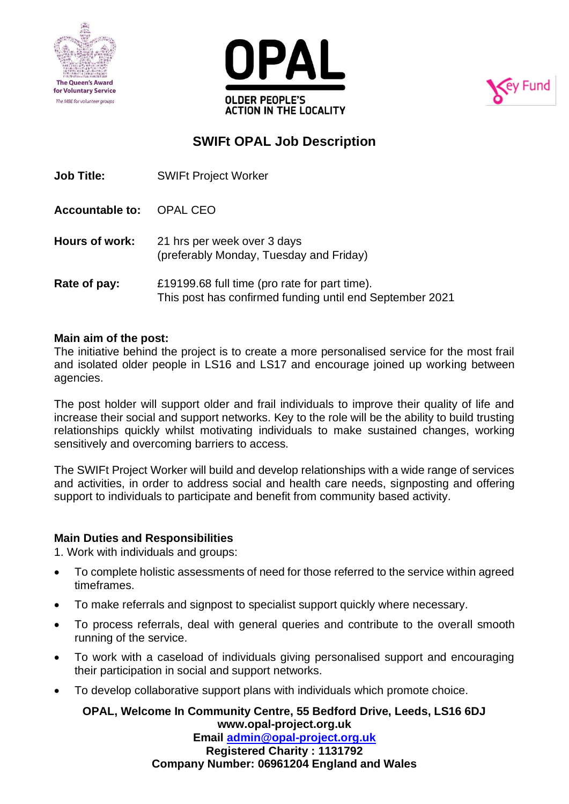





## **SWIFt OPAL Job Description**

| <b>Job Title:</b>      | <b>SWIFt Project Worker</b>                                                                               |
|------------------------|-----------------------------------------------------------------------------------------------------------|
| <b>Accountable to:</b> | OPAL CEO                                                                                                  |
| Hours of work:         | 21 hrs per week over 3 days<br>(preferably Monday, Tuesday and Friday)                                    |
| Rate of pay:           | £19199.68 full time (pro rate for part time).<br>This post has confirmed funding until end September 2021 |

### **Main aim of the post:**

The initiative behind the project is to create a more personalised service for the most frail and isolated older people in LS16 and LS17 and encourage joined up working between agencies.

The post holder will support older and frail individuals to improve their quality of life and increase their social and support networks. Key to the role will be the ability to build trusting relationships quickly whilst motivating individuals to make sustained changes, working sensitively and overcoming barriers to access.

The SWIFt Project Worker will build and develop relationships with a wide range of services and activities, in order to address social and health care needs, signposting and offering support to individuals to participate and benefit from community based activity.

## **Main Duties and Responsibilities**

1. Work with individuals and groups:

- To complete holistic assessments of need for those referred to the service within agreed timeframes.
- To make referrals and signpost to specialist support quickly where necessary.
- To process referrals, deal with general queries and contribute to the overall smooth running of the service.
- To work with a caseload of individuals giving personalised support and encouraging their participation in social and support networks.
- To develop collaborative support plans with individuals which promote choice.

#### **OPAL, Welcome In Community Centre, 55 Bedford Drive, Leeds, LS16 6DJ www.opal-project.org.uk Email [admin@opal-project.org.uk](mailto:admin@opal-project.org.uk) Registered Charity : 1131792 Company Number: 06961204 England and Wales**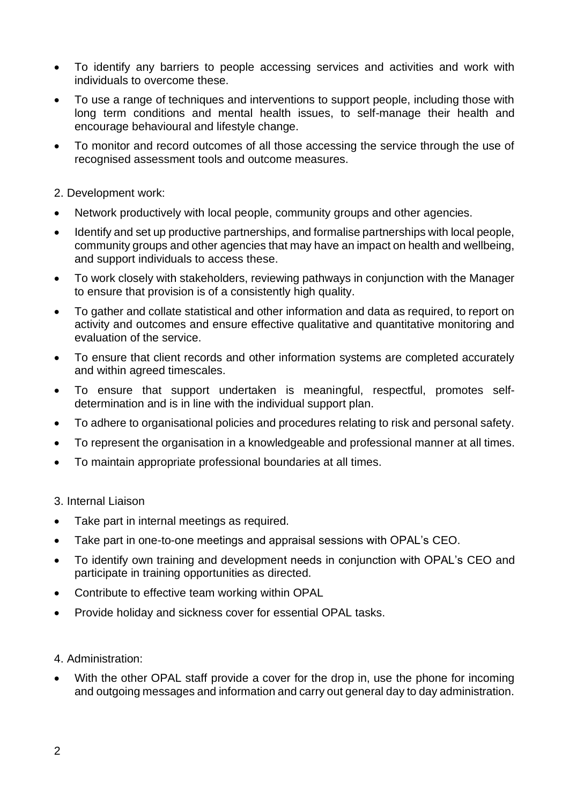- To identify any barriers to people accessing services and activities and work with individuals to overcome these.
- To use a range of techniques and interventions to support people, including those with long term conditions and mental health issues, to self-manage their health and encourage behavioural and lifestyle change.
- To monitor and record outcomes of all those accessing the service through the use of recognised assessment tools and outcome measures.
- 2. Development work:
- Network productively with local people, community groups and other agencies.
- Identify and set up productive partnerships, and formalise partnerships with local people, community groups and other agencies that may have an impact on health and wellbeing, and support individuals to access these.
- To work closely with stakeholders, reviewing pathways in conjunction with the Manager to ensure that provision is of a consistently high quality.
- To gather and collate statistical and other information and data as required, to report on activity and outcomes and ensure effective qualitative and quantitative monitoring and evaluation of the service.
- To ensure that client records and other information systems are completed accurately and within agreed timescales.
- To ensure that support undertaken is meaningful, respectful, promotes selfdetermination and is in line with the individual support plan.
- To adhere to organisational policies and procedures relating to risk and personal safety.
- To represent the organisation in a knowledgeable and professional manner at all times.
- To maintain appropriate professional boundaries at all times.
- 3. Internal Liaison
- Take part in internal meetings as required.
- Take part in one-to-one meetings and appraisal sessions with OPAL's CEO.
- To identify own training and development needs in conjunction with OPAL's CEO and participate in training opportunities as directed.
- Contribute to effective team working within OPAL
- Provide holiday and sickness cover for essential OPAL tasks.
- 4. Administration:
- With the other OPAL staff provide a cover for the drop in, use the phone for incoming and outgoing messages and information and carry out general day to day administration.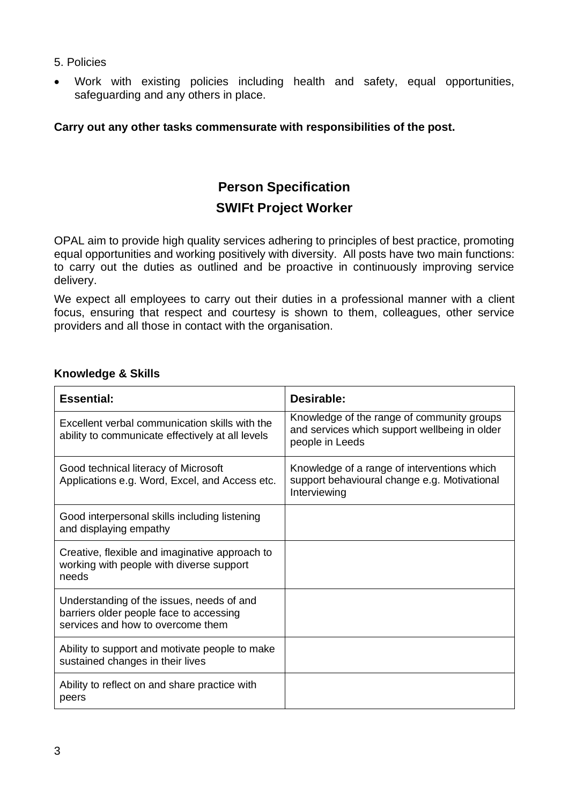- 5. Policies
- Work with existing policies including health and safety, equal opportunities, safeguarding and any others in place.

#### **Carry out any other tasks commensurate with responsibilities of the post.**

# **Person Specification**

## **SWIFt Project Worker**

OPAL aim to provide high quality services adhering to principles of best practice, promoting equal opportunities and working positively with diversity. All posts have two main functions: to carry out the duties as outlined and be proactive in continuously improving service delivery.

We expect all employees to carry out their duties in a professional manner with a client focus, ensuring that respect and courtesy is shown to them, colleagues, other service providers and all those in contact with the organisation.

#### **Knowledge & Skills**

| <b>Essential:</b>                                                                                                         | Desirable:                                                                                                     |
|---------------------------------------------------------------------------------------------------------------------------|----------------------------------------------------------------------------------------------------------------|
| Excellent verbal communication skills with the<br>ability to communicate effectively at all levels                        | Knowledge of the range of community groups<br>and services which support wellbeing in older<br>people in Leeds |
| Good technical literacy of Microsoft<br>Applications e.g. Word, Excel, and Access etc.                                    | Knowledge of a range of interventions which<br>support behavioural change e.g. Motivational<br>Interviewing    |
| Good interpersonal skills including listening<br>and displaying empathy                                                   |                                                                                                                |
| Creative, flexible and imaginative approach to<br>working with people with diverse support<br>needs                       |                                                                                                                |
| Understanding of the issues, needs of and<br>barriers older people face to accessing<br>services and how to overcome them |                                                                                                                |
| Ability to support and motivate people to make<br>sustained changes in their lives                                        |                                                                                                                |
| Ability to reflect on and share practice with<br>peers                                                                    |                                                                                                                |